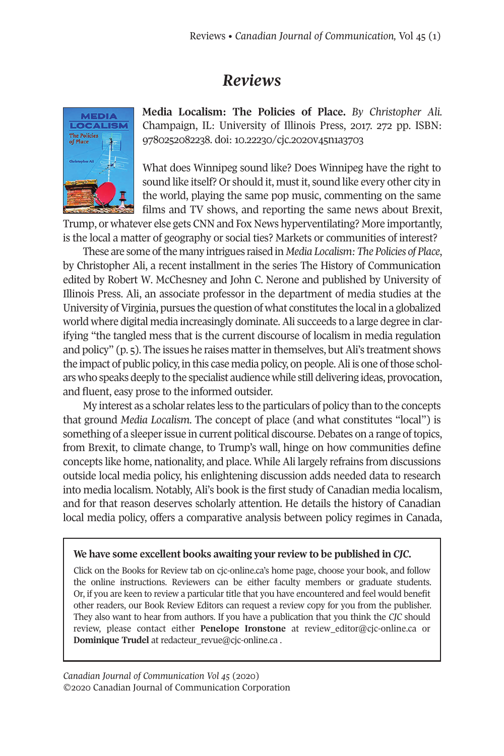## *Reviews*



**Media Localism: The Policies of Place.** *By Christopher Ali.* Champaign, IL: University of Illinois Press, 2017. 272 pp. ISBN: 9780252082238. doi: [10.22230/cjc.2020v45n1a3703](http://doi.org/10.22230/cjc.2020v45n1a3703)

What does Winnipeg sound like? Does Winnipeg have the right to sound like itself? Or should it, must it, sound like every other city in the world, playing the same pop music, commenting on the same films and TV shows, and reporting the same news about Brexit,

Trump, or whatever else gets CNN and Fox News hyperventilating? More importantly, is the local a matter of geography or social ties? Markets or communities of interest?

These are some ofthe many intrigues raised in *Media Localism: The Policies of Place*, by Christopher Ali, a recent installment in the series The History of Communication edited by Robert W. McChesney and John C. Nerone and published by University of Illinois Press. Ali, an associate professor in the department of media studies at the University of Virginia, pursues the question of what constitutes the local in a globalized world where digital media increasingly dominate.Ali succeeds to a large degree in clarifying "the tangled mess that is the current discourse of localism in media regulation and policy" (p. 5). The issues he raises matterin themselves, butAli's treatment shows the impact of public policy, in this case media policy, on people.Ali is one ofthose scholars who speaks deeply to the specialist audience while still delivering ideas, provocation, and fluent, easy prose to the informed outsider.

My interest as a scholar relates less to the particulars of policy than to the concepts that ground *Media Localism*. The concept of place (and what constitutes "local") is something of a sleeper issue in current political discourse. Debates on a range of topics, from Brexit, to climate change, to Trump's wall, hinge on how communities define concepts like home, nationality, and place. While Ali largely refrains from discussions outside local media policy, his enlightening discussion adds needed data to research into media localism. Notably, Ali's book is the first study of Canadian media localism, and for that reason deserves scholarly attention. He details the history of Canadian local media policy, offers a comparative analysis between policy regimes in Canada,

## **We have some excellent books awaiting your review to be published in** *CJC.*

Click on the Books for Review tab on cjc-online.ca's home page, choose your book, and follow the online instructions. Reviewers can be either faculty members or graduate students. Or, if you are keen to review a particular title that you have encountered and feel would benefit other readers, our Book Review Editors can request a review copy for you from the publisher. They also want to hear from authors. If you have a publication that you think the *CJC* should review, please contact either **Penelope Ironstone** at [review\\_editor@cjc-online.ca](mailto:review_editor@cjc-online.ca) or **Dominique Trudel** at [redacteur\\_revue@cjc-online.ca](mailto:redacteur_revue@cjc-online.ca) .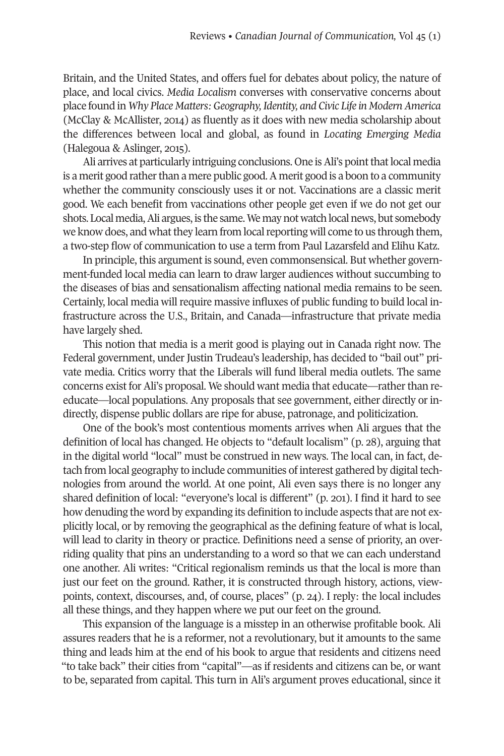Britain, and the United States, and offers fuel for debates about policy, the nature of place, and local civics. *Media Localism* converses with conservative concerns about place found in *Why Place Matters:Geography,Identity, and Civic Life in ModernAmerica* (McClay & McAllister, 2014) as fluently as it does with new media scholarship about the differences between local and global, as found in *Locating Emerging Media* (Halegoua & Aslinger, 2015).

Ali arrives at particularly intriguing conclusions. One is Ali's point that local media is a merit good rather than a mere public good. A merit good is a boon to a community whether the community consciously uses it or not. Vaccinations are a classic merit good. We each benefit from vaccinations other people get even if we do not get our shots. Local media,Ali argues, is the same.We may not watch local news, but somebody we know does, and what they learn from local reporting will come to us through them, a two-step flow of communication to use a term from Paul Lazarsfeld and Elihu Katz.

In principle, this argument is sound, even commonsensical. But whether government-funded local media can learn to draw larger audiences without succumbing to the diseases of bias and sensationalism affecting national media remains to be seen. Certainly, local media will require massive influxes of public funding to build local infrastructure across the U.S., Britain, and Canada—infrastructure that private media have largely shed.

This notion that media is a merit good is playing out in Canada right now. The Federal government, under Justin Trudeau's leadership, has decided to "bail out" private media. Critics worry that the Liberals will fund liberal media outlets. The same concerns exist for Ali's proposal. We should want media that educate—ratherthan reeducate—local populations. Any proposals that see government, either directly or indirectly, dispense public dollars are ripe for abuse, patronage, and politicization.

One of the book's most contentious moments arrives when Ali argues that the definition of local has changed. He objects to "default localism" (p. 28), arguing that in the digital world "local" must be construed in new ways. The local can, in fact, detach from local geography to include communities of interest gathered by digital technologies from around the world. At one point, Ali even says there is no longer any shared definition of local: "everyone's local is different" (p. 201). I find it hard to see how denuding the word by expanding its definition to include aspects that are not explicitly local, or by removing the geographical as the defining feature of what is local, will lead to clarity in theory or practice. Definitions need a sense of priority, an overriding quality that pins an understanding to a word so that we can each understand one another. Ali writes: "Critical regionalism reminds us that the local is more than just our feet on the ground. Rather, it is constructed through history, actions, viewpoints, context, discourses, and, of course, places" (p. 24). I reply: the local includes all these things, and they happen where we put our feet on the ground.

This expansion of the language is a misstep in an otherwise profitable book. Ali assures readers that he is a reformer, not a revolutionary, but it amounts to the same thing and leads him at the end of his book to argue that residents and citizens need "to take back" their cities from "capital"—as if residents and citizens can be, or want to be, separated from capital. This turn in Ali's argument proves educational, since it